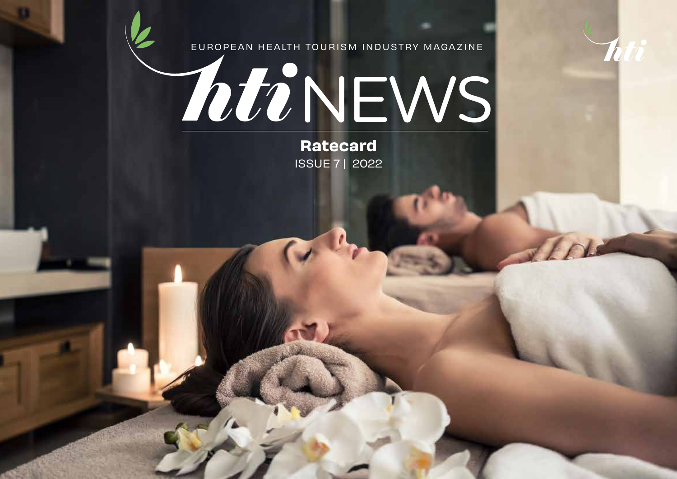

EUROPEAN HEALTH TOURISM INDUSTRY MAGAZINE

# **ZOUR NEWS**

Ratecard ISSUE 7 | 2022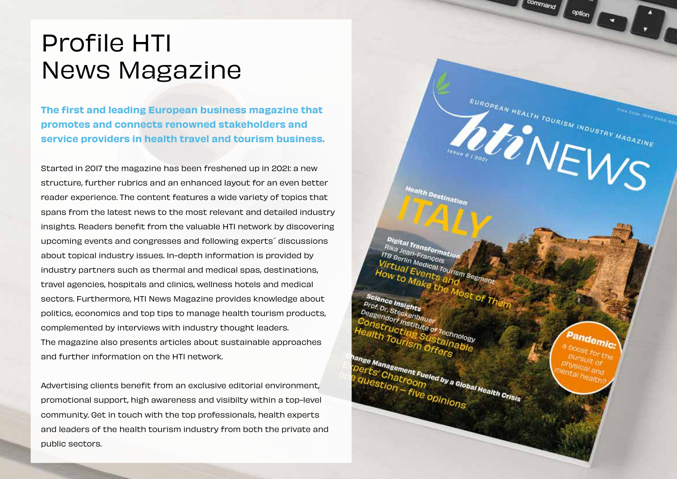### Profile HTI News Magazine

The first and leading European business magazine that promotes and connects renowned stakeholders and service providers in health travel and tourism business.

Started in 2017 the magazine has been freshened up in 2021: a new structure, further rubrics and an enhanced layout for an even better reader experience. The content features a wide variety of topics that spans from the latest news to the most relevant and detailed industry insights. Readers benefit from the valuable HTI network by discovering upcoming events and congresses and following experts´ discussions about topical industry issues. In-depth information is provided by industry partners such as thermal and medical spas, destinations, travel agencies, hospitals and clinics, wellness hotels and medical sectors. Furthermore, HTI News Magazine provides knowledge about politics, economics and top tips to manage health tourism products, complemented by interviews with industry thought leaders. The magazine also presents articles about sustainable approaches and further information on the HTI network.

Advertising clients benefit from an exclusive editorial environment, promotional support, high awareness and visibilty within a top-level community. Get in touch with the top professionals, health experts and leaders of the health tourism industry from both the private and public sectors.

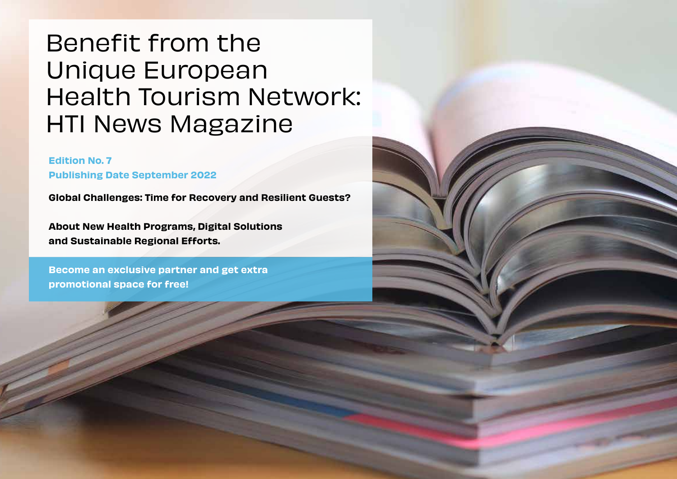## Benefit from the Unique European Health Tourism Network: HTI News Magazine

#### Edition No. 7 Publishing Date September 2022

Global Challenges: Time for Recovery and Resilient Guests?

About New Health Programs, Digital Solutions and Sustainable Regional Efforts.

Become an exclusive partner and get extra promotional space for free!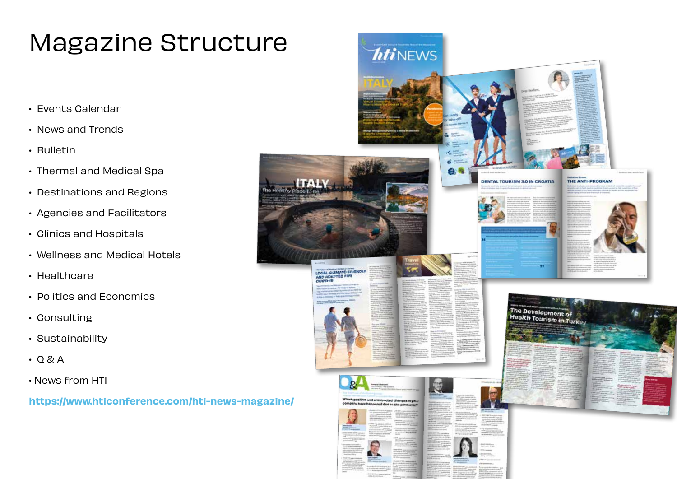# Magazine Structure

- Events Calendar
- News and Trends
- Bulletin
- Thermal and Medical Spa
- Destinations and Regions
- Agencies and Facilitators
- Clinics and Hospitals
- Wellness and Medical Hotels
- Healthcare
- Politics and Economics
- Consulting
- Sustainability
- Q & A
- News from HTI

https://www.hticonference.com/hti-news-magazine/

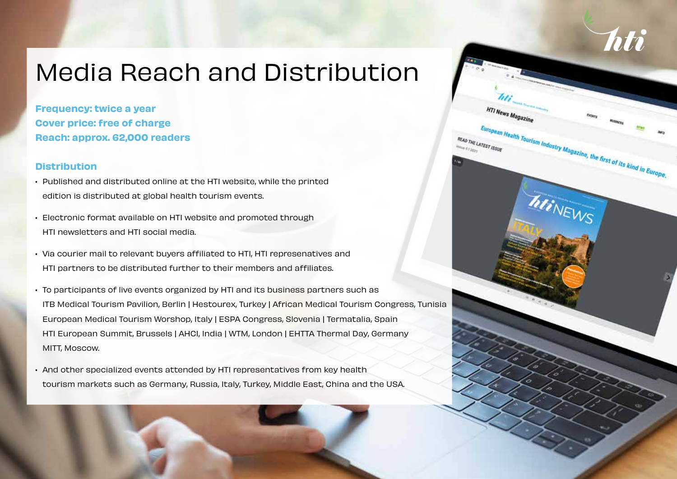# Media Reach and Distribution

Frequency: twice a year Cover price: free of charge Reach: approx. 62,000 readers

#### **Distribution**

- Published and distributed online at the HTI website, while the printed edition is distributed at global health tourism events.
- Electronic format available on HTI website and promoted through HTI newsletters and HTI social media.
- Via courier mail to relevant buyers affiliated to HTI, HTI represenatives and HTI partners to be distributed further to their members and affiliates.
- To participants of live events organized by HTI and its business partners such as ITB Medical Tourism Pavilion, Berlin | Hestourex, Turkey | African Medical Tourism Congress, Tunisia European Medical Tourism Worshop, Italy | ESPA Congress, Slovenia | Termatalia, Spain HTI European Summit, Brussels | AHCI, India | WTM, London | EHTTA Thermal Day, Germany MITT, Moscow.
- And other specialized events attended by HTI representatives from key health tourism markets such as Germany, Russia, Italy, Turkey, Middle East, China and the USA.

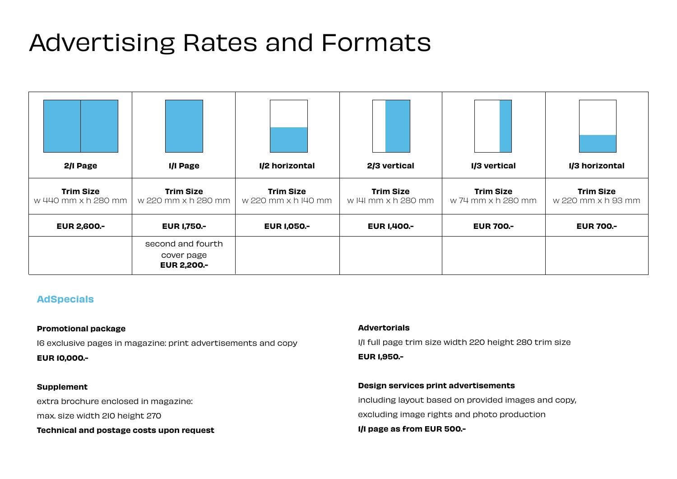# Advertising Rates and Formats

| 2/I Page                                | I/I Page                                               | 1/2 horizontal                          | 2/3 vertical                            | 1/3 vertical                           | 1/3 horizontal                         |
|-----------------------------------------|--------------------------------------------------------|-----------------------------------------|-----------------------------------------|----------------------------------------|----------------------------------------|
| <b>Trim Size</b><br>w 440 mm x h 280 mm | <b>Trim Size</b><br>w 220 mm x h 280 mm                | <b>Trim Size</b><br>w 220 mm x h I40 mm | <b>Trim Size</b><br>w I4I mm x h 280 mm | <b>Trim Size</b><br>w 74 mm x h 280 mm | <b>Trim Size</b><br>w 220 mm x h 93 mm |
| <b>EUR 2,600 .-</b>                     | <b>EUR 1,750.-</b>                                     | <b>EUR 1,050.-</b>                      | <b>EUR 1,400.-</b>                      | <b>EUR 700.-</b>                       | <b>EUR 700.-</b>                       |
|                                         | second and fourth<br>cover page<br><b>EUR 2,200 .-</b> |                                         |                                         |                                        |                                        |

#### AdSpecials

#### Promotional package

16 exclusive pages in magazine: print advertisements and copy EUR 10,000.-

#### Supplement

extra brochure enclosed in magazine:

max. size width 210 height 270

Technical and postage costs upon request

#### **Advertorials**

1/1 full page trim size width 220 height 280 trim size EUR 1,950.-

#### Design services print advertisements

including layout based on provided images and copy, excluding image rights and photo production 1/1 page as from EUR 500.-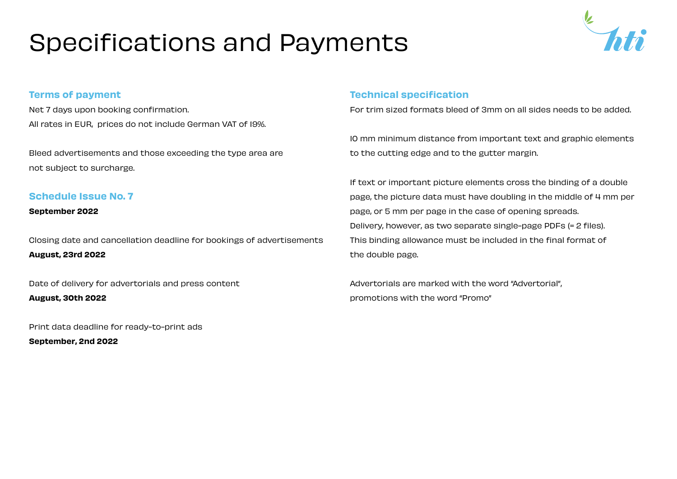# Specifications and Payments



#### Terms of payment

Net 7 days upon booking confirmation. All rates in EUR, prices do not include German VAT of 19%.

Bleed advertisements and those exceeding the type area are not subject to surcharge.

#### Schedule Issue No. 7

September 2022

Closing date and cancellation deadline for bookings of advertisements August, 23rd 2022

Date of delivery for advertorials and press content

August, 30th 2022

Print data deadline for ready-to-print ads

September, 2nd 2022

#### Technical specification

For trim sized formats bleed of 3mm on all sides needs to be added.

10 mm minimum distance from important text and graphic elements to the cutting edge and to the gutter margin.

If text or important picture elements cross the binding of a double page, the picture data must have doubling in the middle of 4 mm per page, or 5 mm per page in the case of opening spreads. Delivery, however, as two separate single-page PDFs (= 2 files). This binding allowance must be included in the final format of the double page.

Advertorials are marked with the word "Advertorial", promotions with the word "Promo"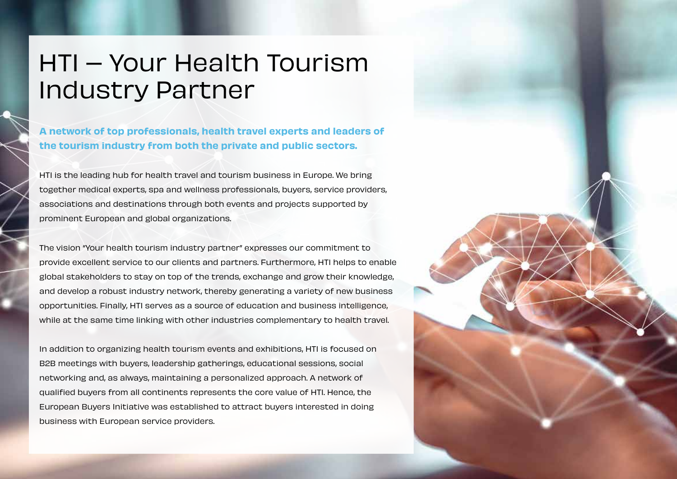### HTI – Your Health Tourism Industry Partner

A network of top professionals, health travel experts and leaders of the tourism industry from both the private and public sectors.

HTI is the leading hub for health travel and tourism business in Europe. We bring together medical experts, spa and wellness professionals, buyers, service providers, associations and destinations through both events and projects supported by prominent European and global organizations.

The vision "Your health tourism industry partner" expresses our commitment to provide excellent service to our clients and partners. Furthermore, HTI helps to enable global stakeholders to stay on top of the trends, exchange and grow their knowledge, and develop a robust industry network, thereby generating a variety of new business opportunities. Finally, HTI serves as a source of education and business intelligence, while at the same time linking with other industries complementary to health travel.

In addition to organizing health tourism events and exhibitions, HTI is focused on B2B meetings with buyers, leadership gatherings, educational sessions, social networking and, as always, maintaining a personalized approach. A network of qualified buyers from all continents represents the core value of HTI. Hence, the European Buyers Initiative was established to attract buyers interested in doing business with European service providers.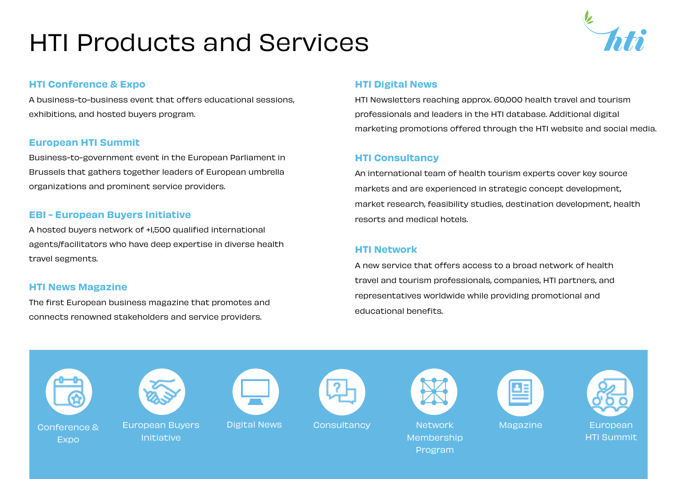# HTI Products and Services



#### HTI Conference & Expo

A business-to-business event that offers educational sessions, exhibitions, and hosted buyers program.

#### European HTI Summit

Business-to-government event in the European Parliament in Brussels that gathers together leaders of European umbrella organizations and prominent service providers.

#### EBI - European Buyers Initiative

A hosted buyers network of +1,500 qualified international agents/facilitators who have deep expertise in diverse health travel segments.

#### HTI News Magazine

The first European business magazine that promotes and connects renowned stakeholders and service providers.

#### HTI Digital News

HTI Newsletters reaching approx. 60,000 health travel and tourism professionals and leaders in the HTI database. Additional digital marketing promotions offered through the HTI website and social media.

#### HTI Consultancy

An international team of health tourism experts cover key source markets and are experienced in strategic concept development, market research, feasibility studies, destination development, health resorts and medical hotels.

#### HTI Network

A new service that offers access to a broad network of health travel and tourism professionals, companies, HTI partners, and representatives worldwide while providing promotional and educational benefits.



**Expo** 



European Buyers Initiative





Digital News Consultancy Network









Magazine European HTI Summit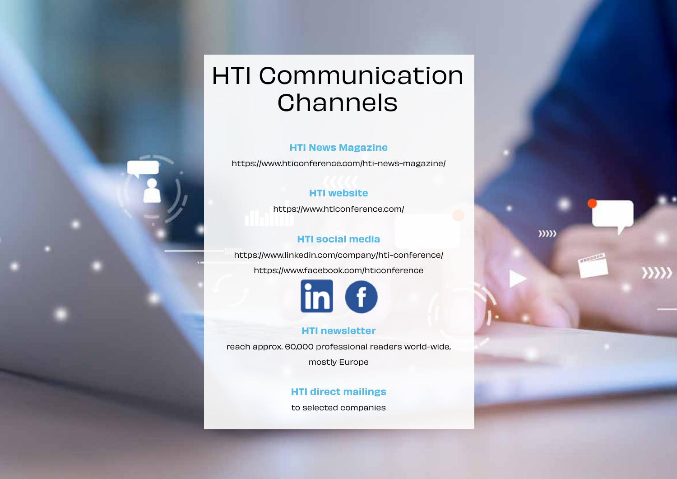### HTI Communication **Channels**

#### HTI News Magazine

https://www.hticonference.com/hti-news-magazine/

#### HTI website

https://www.hticonference.com/

#### HTI social media

 $\rangle\rangle\rangle\rangle\rangle$ 

 $\mathcal{Y}$ 

https://www.linkedin.com/company/hti-conference/

https://www.facebook.com/hticonference



#### HTI newsletter

reach approx. 60,000 professional readers world-wide,

mostly Europe

#### HTI direct mailings

to selected companies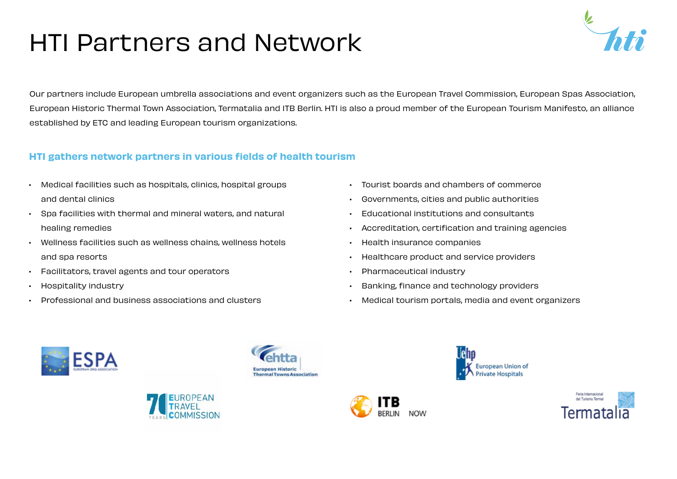# HTI Partners and Network



Our partners include European umbrella associations and event organizers such as the European Travel Commission, European Spas Association, European Historic Thermal Town Association, Termatalia and ITB Berlin. HTI is also a proud member of the European Tourism Manifesto, an alliance established by ETC and leading European tourism organizations.

#### HTI gathers network partners in various fields of health tourism

- Medical facilities such as hospitals, clinics, hospital groups and dental clinics
- Spa facilities with thermal and mineral waters, and natural healing remedies
- Wellness facilities such as wellness chains, wellness hotels and spa resorts
- Facilitators, travel agents and tour operators
- Hospitality industry
- Professional and business associations and clusters
- Tourist boards and chambers of commerce
- Governments, cities and public authorities
- Educational institutions and consultants
- Accreditation, certification and training agencies
- Health insurance companies
- Healthcare product and service providers
- Pharmaceutical industry
- Banking, finance and technology providers
- Medical tourism portals, media and event organizers